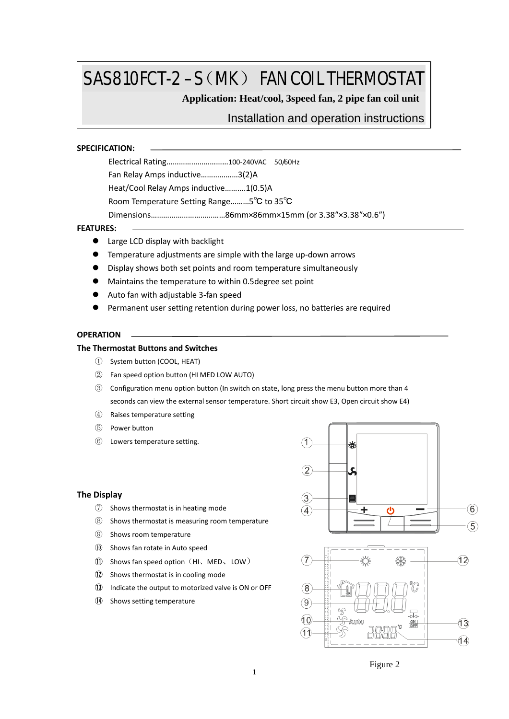# SAS810FCT-2 –S (MK) FAN COIL THERMOSTAT

**Application: Heat/cool, 3speed fan, 2 pipe fan coil unit**

# Installation and operation instructions

#### **SPECIFICATION:**

| Electrical Rating100-240VAC 50/60Hz       |  |  |  |  |  |
|-------------------------------------------|--|--|--|--|--|
| Fan Relay Amps inductive3(2)A             |  |  |  |  |  |
| Heat/Cool Relay Amps inductive1(0.5)A     |  |  |  |  |  |
| Room Temperature Setting Range5°C to 35°C |  |  |  |  |  |
|                                           |  |  |  |  |  |
|                                           |  |  |  |  |  |

## **FEATURES:**

- Large LCD display with backlight
- Temperature adjustments are simple with the large up-down arrows
- Display shows both set points and room temperature simultaneously
- Maintains the temperature to within 0.5degree set point
- Auto fan with adjustable 3-fan speed
- Permanent user setting retention during power loss, no batteries are required

# **OPERATION**

## **The Thermostat Buttons and Switches**

- ① System button (COOL, HEAT)
- ② Fan speed option button (HI MED LOW AUTO)
- ③ Configuration menu option button (In switch on state, long press the menu button more than 4 seconds can view the external sensor temperature. Short circuit show E3, Open circuit show E4)
- ④ Raises temperature setting
- ⑤ Power button
- ⑥ Lowers temperature setting.

#### **The Display**

- ⑦ Shows thermostat is in heating mode
- ⑧ Shows thermostat is measuring room temperature
- ⑨ Shows room temperature
- ⑩ Shows fan rotate in Auto speed
- ⑪ Shows fan speed option(HI、MED、LOW)
- ⑫ Shows thermostat is in cooling mode
- ⑬ Indicate the output to motorized valve is ON or OFF
- ⑭ Shows setting temperature





Figure 2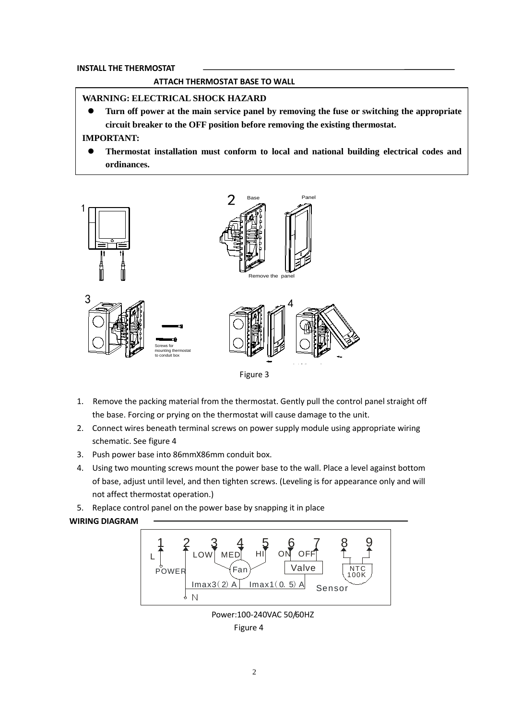## **INSTALL THE THERMOSTAT**

## **ATTACH THERMOSTAT BASE TO WALL**

## **WARNING: ELECTRICAL SHOCK HAZARD**

 **Turn off power at the main service panel by removing the fuse or switching the appropriate circuit breaker to the OFF position before removing the existing thermostat.**

# **IMPORTANT:**

 **Thermostat installation must conform to local and national building electrical codes and ordinances.**



- 1. Remove the packing material from the thermostat. Gently pull the control panel straight off the base. Forcing or prying on the thermostat will cause damage to the unit.
- 2. Connect wires beneath terminal screws on power supply module using appropriate wiring schematic. See figure 4
- 3. Push power base into 86mmX86mm conduit box.
- 4. Using two mounting screws mount the power base to the wall. Place a level against bottom of base, adjust until level, and then tighten screws. (Leveling is for appearance only and will not affect thermostat operation.)
- 5. Replace control panel on the power base by snapping it in place

## **WIRING DIAGRAM**



 Power:100-240VAC 50/60HZ Figure 4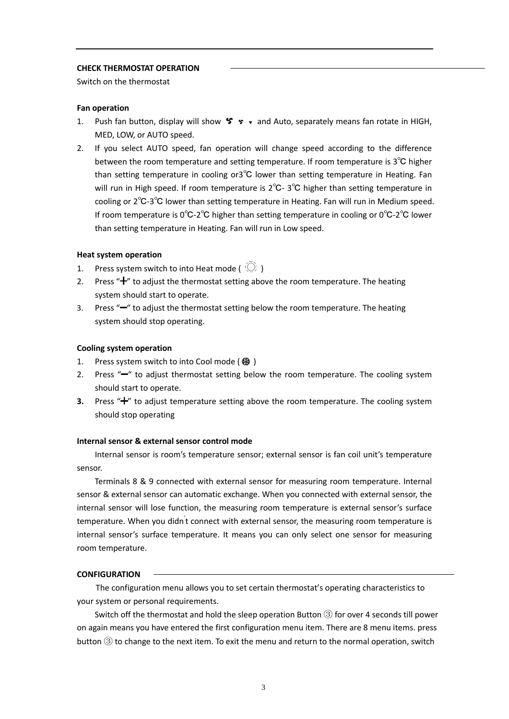#### **CHECK THERMOSTAT OPERATION**

Switch on the thermostat

## **Fan operation**

- 1. Push fan button, display will show  $\mathcal{F} \cdot \mathcal{F}$  and Auto, separately means fan rotate in HIGH, MED, LOW, or AUTO speed.
- 2. If you select AUTO speed, fan operation will change speed according to the difference between the room temperature and setting temperature. If room temperature is 3℃ higher than setting temperature in cooling or3℃ lower than setting temperature in Heating. Fan will run in High speed. If room temperature is 2℃- 3℃ higher than setting temperature in cooling or 2℃-3℃ lower than setting temperature in Heating. Fan will run in Medium speed. If room temperature is 0℃-2℃ higher than setting temperature in cooling or 0℃-2℃ lower than setting temperature in Heating. Fan will run in Low speed.

#### **Heat system operation**

- 1. Press system switch to into Heat mode ( $\circ$ )
- 2. Press " $+$ " to adjust the thermostat setting above the room temperature. The heating system should start to operate.
- 3. Press "<sup>-</sup>" to adjust the thermostat setting below the room temperature. The heating system should stop operating.

#### **Cooling system operation**

- 1. Press system switch to into Cool mode ( ※ )
- 2. Press  $H^*$  to adjust thermostat setting below the room temperature. The cooling system should start to operate.
- **3.** Press " $+$ " to adjust temperature setting above the room temperature. The cooling system should stop operating

#### **Internal sensor & external sensor control mode**

Internal sensor is room's temperature sensor; external sensor is fan coil unit's temperature sensor.

Terminals 8 & 9 connected with external sensor for measuring room temperature. Internal sensor & external sensor can automatic exchange. When you connected with external sensor, the internal sensor will lose function, the measuring room temperature is external sensor's surface temperature. When you didn't connect with external sensor, the measuring room temperature is internal sensor's surface temperature. It means you can only select one sensor for measuring room temperature.

#### **CONFIGURATION**

The configuration menu allows you to set certain thermostat's operating characteristics to your system or personal requirements.

Switch off the thermostat and hold the sleep operation Button ③ for over 4 seconds till power on again means you have entered the first configuration menu item. There are 8 menu items. press button ③ to change to the next item. To exit the menu and return to the normal operation, switch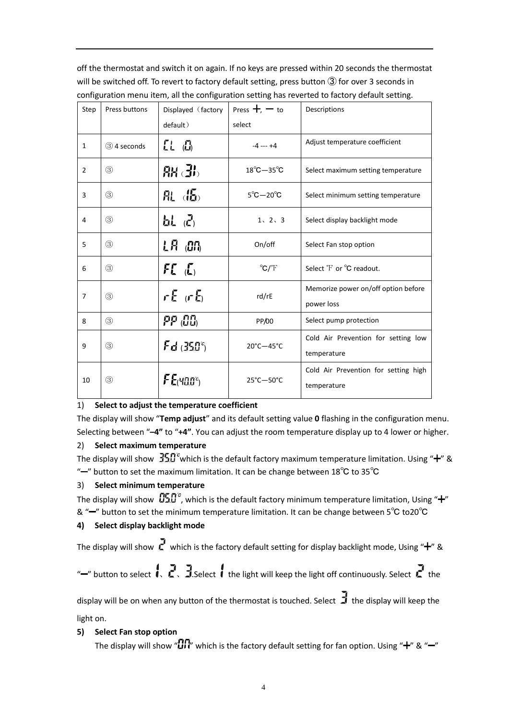off the thermostat and switch it on again. If no keys are pressed within 20 seconds the thermostat will be switched off. To revert to factory default setting, press button ③ for over 3 seconds in configuration menu item, all the configuration setting has reverted to factory default setting.

| Step           | Press buttons | Displayed (factory | Press $+$ , $-$ to             | Descriptions                                        |
|----------------|---------------|--------------------|--------------------------------|-----------------------------------------------------|
|                |               | default)           | select                         |                                                     |
| $\mathbf{1}$   | 3 4 seconds   | [1, 0]             | $-4$ --- $+4$                  | Adjust temperature coefficient                      |
| $\overline{2}$ | $\circled{3}$ | $RR$ $H_0$         | $18^{\circ}$ C $-35^{\circ}$ C | Select maximum setting temperature                  |
| 3              | $\circled{3}$ | 肌的                 | $5^{\circ}$ C $-20^{\circ}$ C  | Select minimum setting temperature                  |
| 4              | $\circled{3}$ | bL (2)             | 1, 2, 3                        | Select display backlight mode                       |
| 5              | $\circled{3}$ | LR on              | On/off                         | Select Fan stop option                              |
| 6              | $\circled{3}$ | FC(L)              | $\mathrm{C}/\mathrm{T}$        | Select <sup>°</sup> F or <sup>°</sup> C readout.    |
| $\overline{7}$ | $\circled{3}$ | $rE$ (r $E_0$      | rd/rE                          | Memorize power on/off option before<br>power loss   |
| 8              | $\circled{3}$ | PP 86,             | PP/00                          | Select pump protection                              |
| 9              | $\circled{3}$ | $Fd$ $(350^\circ)$ | $20^{\circ}$ C $-45^{\circ}$ C | Cold Air Prevention for setting low<br>temperature  |
| 10             | $\circled{3}$ | $FE$ (40.0°)       | 25°C-50°C                      | Cold Air Prevention for setting high<br>temperature |

## 1) **Select to adjust the temperature coefficient**

The display will show "**Temp adjust**" and its default setting value **0** flashing in the configuration menu. Selecting between "**–4"** to "**+4"**. You can adjust the room temperature display up to 4 lower or higher.

# 2) **Select maximum temperature**

The display will show  $350^{\circ}$  which is the default factory maximum temperature limitation. Using " $+$ " & "<sup>-</sup>" button to set the maximum limitation. It can be change between 18°C to 35°C

# 3) **Select minimum temperature**

The display will show  $\sqrt{0.2}$ , which is the default factory minimum temperature limitation, Using " $+$ " & "-" button to set the minimum temperature limitation. It can be change between 5°C to20°C

# **4) Select display backlight mode**

The display will show  $\vec{l}$  which is the factory default setting for display backlight mode, Using " $+$ " &

"-" button to select  $\cdot$  .  $\cdot$  . 3. Select  $\cdot$  the light will keep the light off continuously. Select  $\cdot$  the

display will be on when any button of the thermostat is touched. Select  $\exists$  the display will keep the light on.

# **5) Select Fan stop option**

The display will show " $\Box \Pi$ " which is the factory default setting for fan option. Using " $+$ " & " $-$ "